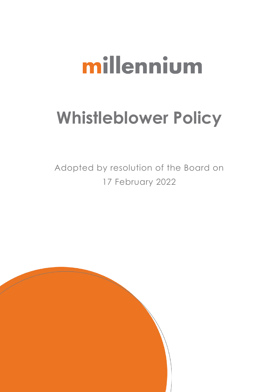# millennium

# **Whistleblower Policy**

Adopted by resolution of the Board on 17 February 2022

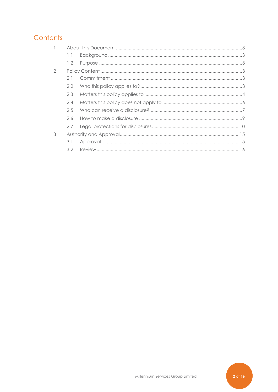# Contents

|               | 1.1           |  |  |
|---------------|---------------|--|--|
|               | $1.2^{\circ}$ |  |  |
| $\mathcal{D}$ |               |  |  |
|               | 2.1           |  |  |
|               | 2.2           |  |  |
|               | 2.3           |  |  |
|               | 2.4           |  |  |
|               | 2.5           |  |  |
|               | 2.6           |  |  |
|               | 2.7           |  |  |
| 3             |               |  |  |
|               | 3.1           |  |  |
|               |               |  |  |

 $2$  of 16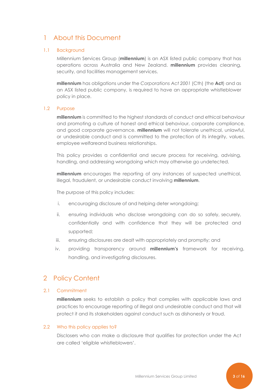# <span id="page-2-0"></span>1 About this Document

#### <span id="page-2-1"></span>1.1 Background

Millennium Services Group (**millennium**) is an ASX listed public company that has operations across Australia and New Zealand. **millennium** provides cleaning, security, and facilities management services.

**millennium** has obligations under the *Corporations Act 2001* (Cth) (the **Act**) and as an ASX listed public company, is required to have an appropriate whistleblower policy in place.

#### <span id="page-2-2"></span>1.2 Purpose

**millennium** is committed to the highest standards of conduct and ethical behaviour and promoting a culture of honest and ethical behaviour, corporate compliance, and good corporate governance. **millennium** will not tolerate unethical, unlawful, or undesirable conduct and is committed to the protection of its integrity, values, employee welfare and business relationships.

This policy provides a confidential and secure process for receiving, advising, handling, and addressing wrongdoing which may otherwise go undetected.

**millennium** encourages the reporting of any instances of suspected unethical, illegal, fraudulent, or undesirable conduct involving **millennium**.

The purpose of this policy includes:

- i. encouraging disclosure of and helping deter wrongdoing;
- ii. ensuring individuals who disclose wrongdoing can do so safely, securely, confidentially and with confidence that they will be protected and supported;
- iii. ensuring disclosures are dealt with appropriately and promptly; and
- iv. providing transparency around **millennium's** framework for receiving, handling, and investigating disclosures.

### <span id="page-2-3"></span>2 Policy Content

#### <span id="page-2-4"></span>2.1 Commitment

**millennium** seeks to establish a policy that complies with applicable laws and practices to encourage reporting of illegal and undesirable conduct and that will protect it and its stakeholders against conduct such as dishonesty or fraud.

#### <span id="page-2-5"></span>2.2 Who this policy applies to?

Disclosers who can make a disclosure that qualifies for protection under the Act are called 'eligible whistleblowers'.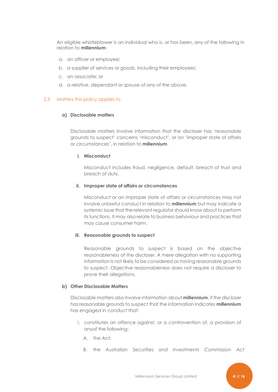An eligible whistleblower is an individual who is, or has been, any of the following in relation to **millennium**:

- a. an officer or employee;
- b. a supplier of services or goods, including their employees;
- c. an associate; or
- d. a relative, dependant or spouse of any of the above.

#### <span id="page-3-0"></span>2.3 Matters this policy applies to

#### **a) Disclosable matters**

Disclosable matters involve information that the discloser has 'reasonable grounds to suspect' concerns 'misconduct', or an 'improper state of affairs or circumstances', in relation to **millennium**.

#### **i. Misconduct**

Misconduct includes fraud, negligence, default, breach of trust and breach of duty.

#### **ii. Improper state of affairs or circumstances**

Misconduct or an improper state of affairs or circumstances may not involve unlawful conduct in relation to **millennium** but may indicate a systemic issue that the relevant regulator should know about to perform its functions. It may also relate to business behaviour and practices that may cause consumer harm.

#### **iii. Reasonable grounds to suspect**

Reasonable grounds to suspect is based on the objective reasonableness of the discloser. A mere allegation with no supporting information is not likely to be considered as having reasonable grounds to suspect. Objective reasonableness does not require a discloser to prove their allegations.

#### **b) Other Disclosable Matters**

Disclosable matters also involve information about **millennium**, if the discloser has reasonable grounds to suspect that the information indicates **millennium** has engaged in conduct that:

- i. constitutes an offence against, or a contravention of, a provision of anyof the following:
	- A. the Act;
	- B. the *Australian Securities and Investments Commission Act*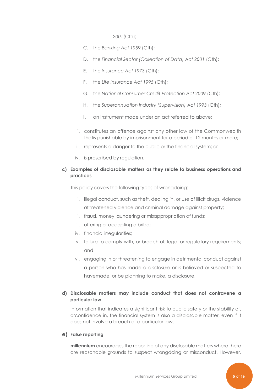*2001*(Cth);

- C. the *Banking Act 1959* (Cth);
- D. the *Financial Sector (Collection of Data) Act 2001* (Cth);
- E. the *Insurance Act 1973* (Cth);
- F. the *Life Insurance Act 1995* (Cth);
- G. the *National Consumer Credit Protection Act 2009* (Cth);
- H. the *Superannuation Industry (Supervision) Act 1993* (Cth);
- I. an instrument made under an act referred to above;
- ii. constitutes an offence against any other law of the Commonwealth thatis punishable by imprisonment for a period of 12 months or more;
- iii. represents a danger to the public or the financial system; or
- iv. is prescribed by regulation.

#### **c) Examples of disclosable matters as they relate to business operations and practices**

This policy covers the following types of wrongdoing:

- i. illegal conduct, such as theft, dealing in, or use of illicit drugs, violence orthreatened violence and criminal damage against property;
- ii. fraud, money laundering or misappropriation of funds;
- iii. offering or accepting a bribe;
- iv. financial irregularities;
- v. failure to comply with, or breach of, legal or regulatory requirements; and
- vi. engaging in or threatening to engage in detrimental conduct against a person who has made a disclosure or is believed or suspected to have made, or be planning to make, a disclosure.

#### **d) Disclosable matters may include conduct that does not contravene a particular law**

Information that indicates a significant risk to public safety or the stability of, orconfidence in, the financial system is also a disclosable matter, even if it does not involve a breach of a particular law.

#### **e) False reporting**

**millennium** encourages the reporting of any disclosable matters where there are reasonable grounds to suspect wrongdoing or misconduct. However,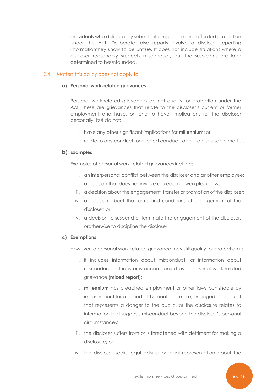individuals who deliberately submit false reports are not afforded protection under the Act. Deliberate false reports involve a discloser reporting informationthey know to be untrue. It does not include situations where a discloser reasonably suspects misconduct, but the suspicions are later determined to beunfounded.

#### <span id="page-5-0"></span>2.4 Matters this policy does not apply to

#### **a) Personal work-related grievances**

Personal work-related grievances do not qualify for protection under the Act. These are grievances that relate to the discloser's current or former employment and have, or tend to have, implications for the discloser personally, but do not:

- i. have any other significant implications for **millennium**; or
- ii. relate to any conduct, or alleged conduct, about a disclosable matter.

#### **b) Examples**

Examples of personal work-related grievances include:

- i. an interpersonal conflict between the discloser and another employee;
- ii. a decision that does not involve a breach of workplace laws;
- iii. a decision about the engagement, transfer or promotion of the discloser;
- iv. a decision about the terms and conditions of engagement of the discloser; or
- v. a decision to suspend or terminate the engagement of the discloser, orotherwise to discipline the discloser.

#### **c) Exemptions**

However, a personal work-related grievance may still qualify for protection if:

- i. it includes information about misconduct, or information about misconduct includes or is accompanied by a personal work-related grievance (**mixed report**);
- ii. **millennium** has breached employment or other laws punishable by imprisonment for a period of 12 months or more, engaged in conduct that represents a danger to the public, or the disclosure relates to information that suggests misconduct beyond the discloser's personal circumstances;
- iii. the discloser suffers from or is threatened with detriment for making a disclosure; or
- iv. the discloser seeks legal advice or legal representation about the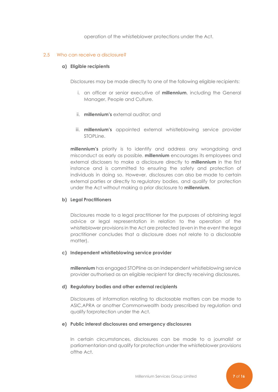operation of the whistleblower protections under the Act.

#### <span id="page-6-0"></span>2.5 Who can receive a disclosure?

#### **a) Eligible recipients**

Disclosures may be made directly to one of the following eligible recipients:

- i. an officer or senior executive of **millennium**, including the General Manager, People and Culture.
- ii. **millennium's** external auditor; and
- iii. **millennium's** appointed external whistleblowing service provider STOPLine.

**millennium's** priority is to identify and address any wrongdoing and misconduct as early as possible. **millennium** encourages its employees and external disclosers to make a disclosure directly to **millennium** in the first instance and is committed to ensuring the safety and protection of individuals in doing so. However, disclosures can also be made to certain external parties or directly to regulatory bodies, and qualify for protection under the Act without making a prior disclosure to **millennium**.

#### **b) Legal Practitioners**

Disclosures made to a legal practitioner for the purposes of obtaining legal advice or legal representation in relation to the operation of the whistleblower provisions in the Act are protected (even in the event the legal practitioner concludes that a disclosure does not relate to a disclosable matter).

#### **c) Independent whistleblowing service provider**

**millennium** has engaged STOPline as an independent whistleblowing service provider authorised as an eligible recipient for directly receiving disclosures.

#### **d) Regulatory bodies and other external recipients**

Disclosures of information relating to disclosable matters can be made to ASIC,APRA or another Commonwealth body prescribed by regulation and qualify forprotection under the Act.

#### **e) Public interest disclosures and emergency disclosures**

In certain circumstances, disclosures can be made to a journalist or parliamentarian and qualify for protection under the whistleblower provisions ofthe Act.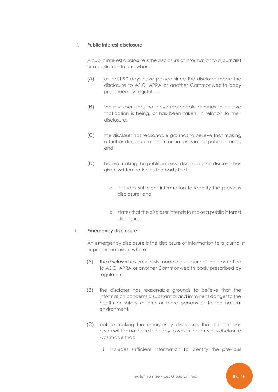#### **i. Public interest disclosure**

A public interest disclosure is the disclosure of information to a journalist or a parliamentarian, where:

- (A) at least 90 days have passed since the discloser made the disclosure to ASIC, APRA or another Commonwealth body prescribed by regulation;
- (B) the discloser does not have reasonable grounds to believe that action is being, or has been taken, in relation to their disclosure;
- (C) the discloser has reasonable grounds to believe that making a further disclosure of the information is in the public interest; and
- (D) before making the public interest disclosure, the discloser has given written notice to the body that:
	- a. includes sufficient information to identify the previous disclosure; and
	- b. states that the discloser intends to make a public interest disclosure.

#### **ii. Emergency disclosure**

An emergency disclosure is the disclosure of information to a journalist or parliamentarian, where:

- (A) the discloser has previously made a disclosure of theinformation to ASIC, APRA or another Commonwealth body prescribed by regulation;
- (B) the discloser has reasonable grounds to believe that the information concerns a substantial and imminent danger to the health or safety of one or more persons or to the natural environment;
- (C) before making the emergency disclosure, the discloser has given written notice to the body to which the previous disclosure was made that:
	- i. includes sufficient information to identify the previous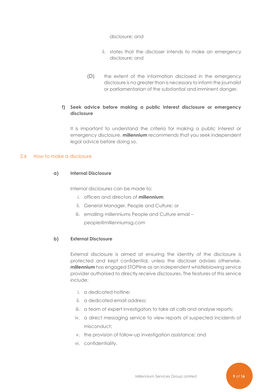#### disclosure; and

- ii. states that the discloser intends to make an emergency disclosure; and
- (D) the extent of the information disclosed in the emergency disclosure is no greater than is necessary to inform the journalist or parliamentarian of the substantial and imminent danger.

#### **f) Seek advice before making a public interest disclosure or emergency disclosure**

It is important to understand the criteria for making a public interest or emergency disclosure. **millennium** recommends that you seek independent legal advice before doing so.

#### <span id="page-8-0"></span>2.6 How to make a disclosure

#### **a) Internal Disclosure**

Internal disclosures can be made to:

- i. officers and directors of **millennium**;
- ii. General Manager, People and Culture; or
- iii. emailing millenniums People and Culture email people@millenniumsg.com

#### **b) External Disclosure**

External disclosure is aimed at ensuring the identity of the disclosure is protected and kept confidential, unless the discloser advises otherwise. **millennium** has engaged STOPline as an independent whistleblowing service provider authorised to directly receive disclosures. The features of this service include:

- i. a dedicated hotline;
- ii. a dedicated email address;
- iii. a team of expert investigators to take all calls and analyse reports;
- iv. a direct messaging service to view reports of suspected incidents of misconduct;
- v. the provision of follow-up investigation assistance; and
- vi. confidentiality.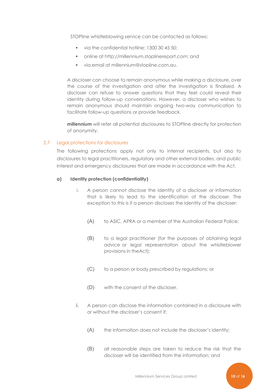STOPline whistleblowing service can be contacted as follows:

- via the confidential hotline: 1300 30 45 50;
- online at [http://millennium.stoplinereport.com;](http://millennium.stoplinereport.com/) and
- via email at [millennium@stopline.com.au.](mailto:millennium@stopline.com.au)

A discloser can choose to remain anonymous while making a disclosure, over the course of the investigation and after the investigation is finalised. A discloser can refuse to answer questions that they feel could reveal their identity during follow-up conversations. However, a discloser who wishes to remain anonymous should maintain ongoing two-way communication to facilitate follow-up questions or provide feedback.

**millennium** will refer all potential disclosures to STOPline directly for protection of anonymity.

#### <span id="page-9-0"></span>2.7 Legal protections for disclosures

The following protections apply not only to internal recipients, but also to disclosures to legal practitioners, regulatory and other external bodies, and public interest and emergency disclosures that are made in accordance with the Act.

#### **a) Identity protection (confidentiality)**

- i. A person cannot disclose the identity of a discloser or information that is likely to lead to the identification of the discloser. The exception to this is if a person discloses the identity of the discloser:
	- (A) to ASIC, APRA or a member of the Australian Federal Police;
	- (B) to a legal practitioner (for the purposes of obtaining legal advice or legal representation about the whistleblower provisions in theAct);
	- (C) to a person or body prescribed by regulations; or
	- (D) with the consent of the discloser.
- ii. A person can disclose the information contained in a disclosure with or without the discloser's consent if:
	- (A) the information does not include the discloser's identity;
	- (B) all reasonable steps are taken to reduce the risk that the discloser will be identified from the information; and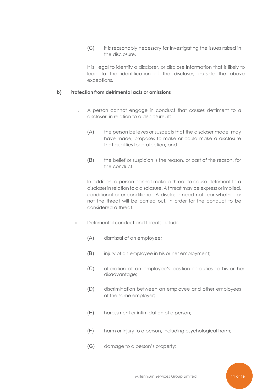(C) it is reasonably necessary for investigating the issues raised in the disclosure.

It is illegal to identify a discloser, or disclose information that is likely to lead to the identification of the discloser, outside the above exceptions.

#### **b) Protection from detrimental acts or omissions**

- i. A person cannot engage in conduct that causes detriment to a discloser, in relation to a disclosure, if:
	- (A) the person believes or suspects that the discloser made, may have made, proposes to make or could make a disclosure that qualifies for protection; and
	- (B) the belief or suspicion is the reason, or part of the reason, for the conduct.
- ii. In addition, a person cannot make a threat to cause detriment to a discloser in relation to a disclosure. A threat may be express or implied, conditional or unconditional. A discloser need not fear whether or not the threat will be carried out, in order for the conduct to be considered a threat.
- iii. Detrimental conduct and threats include:
	- (A) dismissal of an employee;
	- (B) injury of an employee in his or her employment;
	- (C) alteration of an employee's position or duties to his or her disadvantage;
	- (D) discrimination between an employee and other employees of the same employer;
	- (E) harassment or intimidation of a person;
	- (F) harm or injury to a person, including psychological harm;
	- (G) damage to a person's property;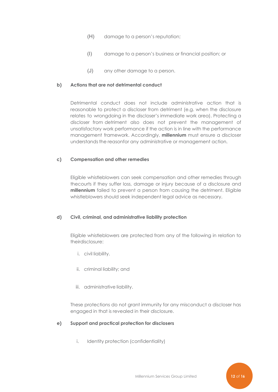- (H) damage to a person's reputation;
- (I) damage to a person's business or financial position; or
- (J) any other damage to a person.

#### **b) Actions that are not detrimental conduct**

Detrimental conduct does not include administrative action that is reasonable to protect a discloser from detriment (e.g. when the disclosure relates to wrongdoing in the discloser's immediate work area). Protecting a discloser from detriment also does not prevent the management of unsatisfactory work performance if the action is in line with the performance management framework. Accordingly, **millennium** must ensure a discloser understands the reasonfor any administrative or management action.

#### **c) Compensation and other remedies**

Eligible whistleblowers can seek compensation and other remedies through thecourts if they suffer loss, damage or injury because of a disclosure and **millennium** failed to prevent a person from causing the detriment. Eligible whistleblowers should seek independent legal advice as necessary.

#### **d) Civil, criminal, and administrative liability protection**

Eligible whistleblowers are protected from any of the following in relation to theirdisclosure:

- i. civil liability.
- ii. criminal liability; and
- iii. administrative liability.

These protections do not grant immunity for any misconduct a discloser has engaged in that is revealed in their disclosure.

#### **e) Support and practical protection for disclosers**

i. Identity protection (confidentiality)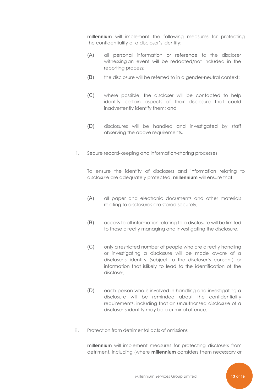**millennium** will implement the following measures for protecting the confidentiality of a discloser's identity:

- (A) all personal information or reference to the discloser witnessing an event will be redacted/not included in the reporting process;
- (B) the disclosure will be referred to in a gender-neutral context;
- (C) where possible, the discloser will be contacted to help identify certain aspects of their disclosure that could inadvertently identify them; and
- (D) disclosures will be handled and investigated by staff observing the above requirements.
- ii. Secure record-keeping and information-sharing processes

To ensure the identity of disclosers and information relating to disclosure are adequately protected, **millennium** will ensure that:

- (A) all paper and electronic documents and other materials relating to disclosures are stored securely;
- (B) access to all information relating to a disclosure will be limited to those directly managing and investigating the disclosure;
- (C) only a restricted number of people who are directly handling or investigating a disclosure will be made aware of a discloser's identity (subject to the discloser's consent) or information that islikely to lead to the identification of the discloser;
- (D) each person who is involved in handling and investigating a disclosure will be reminded about the confidentiality requirements, including that an unauthorised disclosure of a discloser's identity may be a criminal offence.
- iii. Protection from detrimental acts of omissions

**millennium** will implement measures for protecting disclosers from detriment, including (where **millennium** considers them necessary or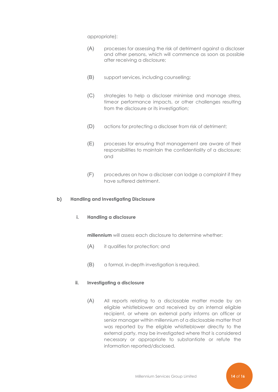appropriate):

- (A) processes for assessing the risk of detriment against a discloser and other persons, which will commence as soon as possible after receiving a disclosure;
- (B) support services, including counselling;
- (C) strategies to help a discloser minimise and manage stress, timeor performance impacts, or other challenges resulting from the disclosure or its investigation;
- (D) actions for protecting a discloser from risk of detriment;
- (E) processes for ensuring that management are aware of their responsibilities to maintain the confidentiality of a disclosure; and
- (F) procedures on how a discloser can lodge a complaint if they have suffered detriment.

#### **b) Handling and Investigating Disclosure**

#### **i. Handling a disclosure**

**millennium** will assess each disclosure to determine whether:

- (A) it qualifies for protection; and
- (B) a formal, in-depth investigation is required.

#### **ii. Investigating a disclosure**

(A) All reports relating to a disclosable matter made by an eligible whistleblower and received by an internal eligible recipient, or where an external party informs an officer or senior manager within millennium of a disclosable matter that was reported by the eligible whistleblower directly to the external party, may be investigated where that is considered necessary or appropriate to substantiate or refute the information reported/disclosed.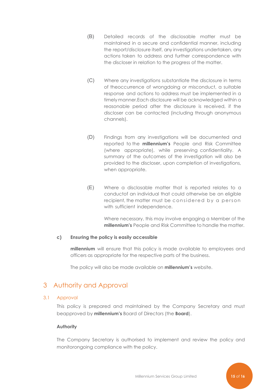- (B) Detailed records of the disclosable matter must be maintained in a secure and confidential manner, including the report/disclosure itself, any investigations undertaken, any actions taken to address and further correspondence with the discloser in relation to the progress of the matter.
- (C) Where any investigations substantiate the disclosure in terms of theoccurrence of wrongdoing or misconduct, a suitable response and actions to address must be implemented in a timely manner.Each disclosure will be acknowledged within a reasonable period after the disclosure is received, if the discloser can be contacted (including through anonymous channels).
- (D) Findings from any investigations will be documented and reported to the **millennium's** People and Risk Committee (where appropriate), while preserving confidentiality. A summary of the outcomes of the investigation will also be provided to the discloser, upon completion of investigations, when appropriate.
- (E) Where a disclosable matter that is reported relates to a conductof an individual that could otherwise be an eligible recipient, the matter must be considered by a person with sufficient independence.

Where necessary, this may involve engaging a Member of the **millennium's** People and Risk Committee to handle the matter.

#### **c) Ensuring the policy is easily accessible**

**millennium** will ensure that this policy is made available to employees and officers as appropriate for the respective parts of the business.

The policy will also be made available on **millennium's** website.

# <span id="page-14-0"></span>3 Authority and Approval

#### <span id="page-14-1"></span>3.1 Approval

This policy is prepared and maintained by the Company Secretary and must be approved by **millennium's** Board of Directors (the **Board**).

#### **Authority**

The Company Secretary is authorised to implement and review the policy and monitorongoing compliance with the policy.